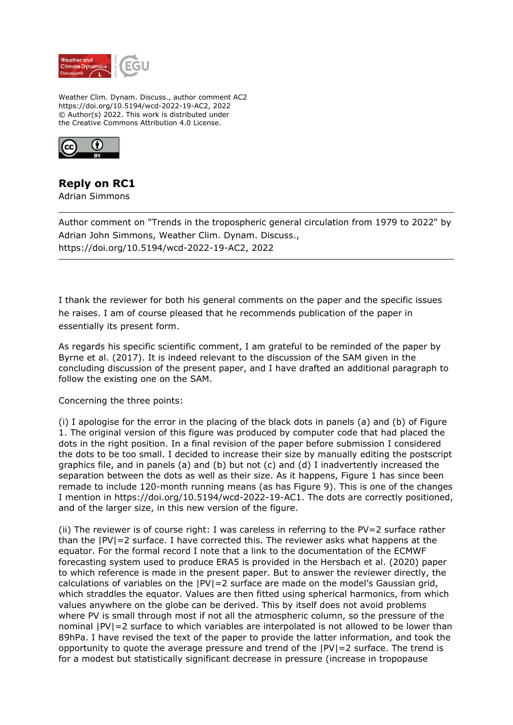

Weather Clim. Dynam. Discuss., author comment AC2 https://doi.org/10.5194/wcd-2022-19-AC2, 2022 © Author(s) 2022. This work is distributed under the Creative Commons Attribution 4.0 License.



## **Reply on RC1**

Adrian Simmons

Author comment on "Trends in the tropospheric general circulation from 1979 to 2022" by Adrian John Simmons, Weather Clim. Dynam. Discuss., https://doi.org/10.5194/wcd-2022-19-AC2, 2022

I thank the reviewer for both his general comments on the paper and the specific issues he raises. I am of course pleased that he recommends publication of the paper in essentially its present form.

As regards his specific scientific comment, I am grateful to be reminded of the paper by Byrne et al. (2017). It is indeed relevant to the discussion of the SAM given in the concluding discussion of the present paper, and I have drafted an additional paragraph to follow the existing one on the SAM.

Concerning the three points:

(i) I apologise for the error in the placing of the black dots in panels (a) and (b) of Figure 1. The original version of this figure was produced by computer code that had placed the dots in the right position. In a final revision of the paper before submission I considered the dots to be too small. I decided to increase their size by manually editing the postscript graphics file, and in panels (a) and (b) but not (c) and (d) I inadvertently increased the separation between the dots as well as their size. As it happens, Figure 1 has since been remade to include 120-month running means (as has Figure 9). This is one of the changes I mention in https://doi.org/10.5194/wcd-2022-19-AC1. The dots are correctly positioned, and of the larger size, in this new version of the figure.

(ii) The reviewer is of course right: I was careless in referring to the PV=2 surface rather than the  $|PV|=2$  surface. I have corrected this. The reviewer asks what happens at the equator. For the formal record I note that a link to the documentation of the ECMWF forecasting system used to produce ERA5 is provided in the Hersbach et al. (2020) paper to which reference is made in the present paper. But to answer the reviewer directly, the calculations of variables on the  $|PV| = 2$  surface are made on the model's Gaussian grid, which straddles the equator. Values are then fitted using spherical harmonics, from which values anywhere on the globe can be derived. This by itself does not avoid problems where PV is small through most if not all the atmospheric column, so the pressure of the nominal |PV|=2 surface to which variables are interpolated is not allowed to be lower than 89hPa. I have revised the text of the paper to provide the latter information, and took the opportunity to quote the average pressure and trend of the |PV|=2 surface. The trend is for a modest but statistically significant decrease in pressure (increase in tropopause